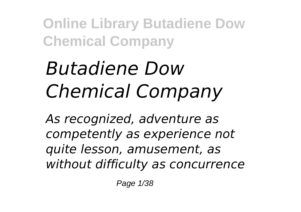# *Butadiene Dow Chemical Company*

*As recognized, adventure as competently as experience not quite lesson, amusement, as without difficulty as concurrence*

Page 1/38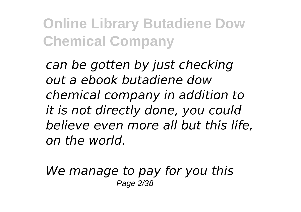*can be gotten by just checking out a ebook butadiene dow chemical company in addition to it is not directly done, you could believe even more all but this life, on the world.*

*We manage to pay for you this* Page 2/38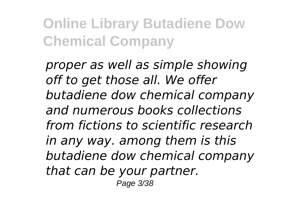*proper as well as simple showing off to get those all. We offer butadiene dow chemical company and numerous books collections from fictions to scientific research in any way. among them is this butadiene dow chemical company that can be your partner.* Page 3/38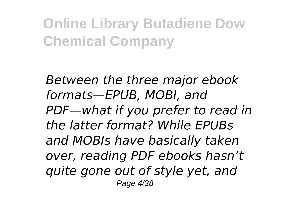*Between the three major ebook formats—EPUB, MOBI, and PDF—what if you prefer to read in the latter format? While EPUBs and MOBIs have basically taken over, reading PDF ebooks hasn't quite gone out of style yet, and* Page 4/38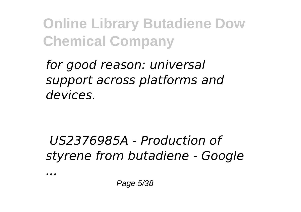*for good reason: universal support across platforms and devices.*

### *US2376985A - Production of styrene from butadiene - Google*

*...*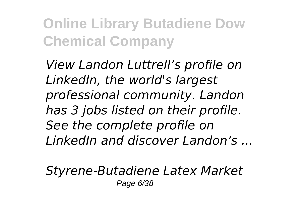*View Landon Luttrell's profile on LinkedIn, the world's largest professional community. Landon has 3 jobs listed on their profile. See the complete profile on LinkedIn and discover Landon's ...*

*Styrene-Butadiene Latex Market* Page 6/38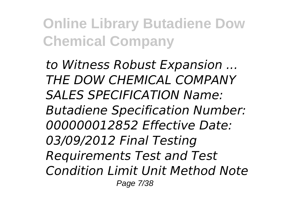*to Witness Robust Expansion ... THE DOW CHEMICAL COMPANY SALES SPECIFICATION Name: Butadiene Specification Number: 000000012852 Effective Date: 03/09/2012 Final Testing Requirements Test and Test Condition Limit Unit Method Note* Page 7/38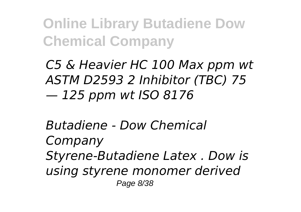*C5 & Heavier HC 100 Max ppm wt ASTM D2593 2 Inhibitor (TBC) 75 — 125 ppm wt ISO 8176*

*Butadiene - Dow Chemical Company Styrene-Butadiene Latex . Dow is using styrene monomer derived* Page 8/38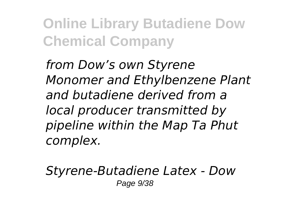*from Dow's own Styrene Monomer and Ethylbenzene Plant and butadiene derived from a local producer transmitted by pipeline within the Map Ta Phut complex.*

*Styrene-Butadiene Latex - Dow* Page 9/38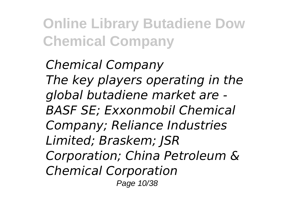*Chemical Company The key players operating in the global butadiene market are - BASF SE; Exxonmobil Chemical Company; Reliance Industries Limited; Braskem; JSR Corporation; China Petroleum & Chemical Corporation* Page 10/38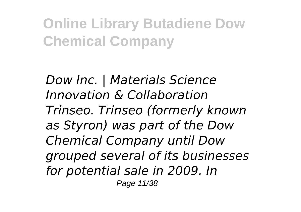*Dow Inc. | Materials Science Innovation & Collaboration Trinseo. Trinseo (formerly known as Styron) was part of the Dow Chemical Company until Dow grouped several of its businesses for potential sale in 2009. In* Page 11/38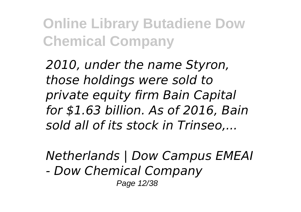*2010, under the name Styron, those holdings were sold to private equity firm Bain Capital for \$1.63 billion. As of 2016, Bain sold all of its stock in Trinseo,...*

*Netherlands | Dow Campus EMEAI*

*- Dow Chemical Company*

Page 12/38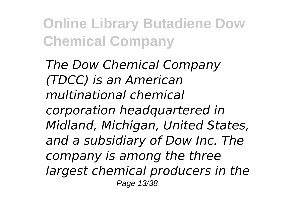*The Dow Chemical Company (TDCC) is an American multinational chemical corporation headquartered in Midland, Michigan, United States, and a subsidiary of Dow Inc. The company is among the three largest chemical producers in the* Page 13/38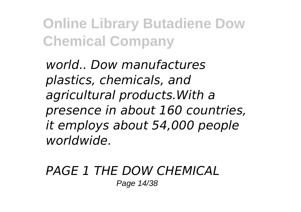*world.. Dow manufactures plastics, chemicals, and agricultural products.With a presence in about 160 countries, it employs about 54,000 people worldwide.*

#### *PAGE 1 THE DOW CHEMICAL* Page 14/38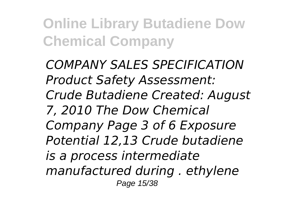*COMPANY SALES SPECIFICATION Product Safety Assessment: Crude Butadiene Created: August 7, 2010 The Dow Chemical Company Page 3 of 6 Exposure Potential 12,13 Crude butadiene is a process intermediate manufactured during . ethylene* Page 15/38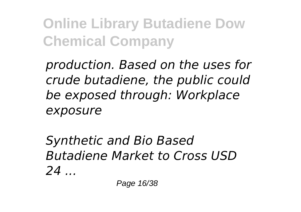*production. Based on the uses for crude butadiene, the public could be exposed through: Workplace exposure*

*Synthetic and Bio Based Butadiene Market to Cross USD 24 ...*

Page 16/38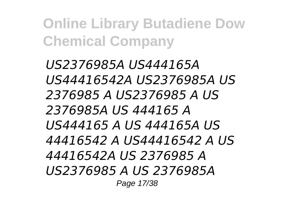*US2376985A US444165A US44416542A US2376985A US 2376985 A US2376985 A US 2376985A US 444165 A US444165 A US 444165A US 44416542 A US44416542 A US 44416542A US 2376985 A US2376985 A US 2376985A* Page 17/38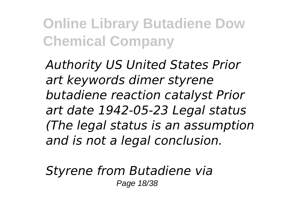*Authority US United States Prior art keywords dimer styrene butadiene reaction catalyst Prior art date 1942-05-23 Legal status (The legal status is an assumption and is not a legal conclusion.*

*Styrene from Butadiene via* Page 18/38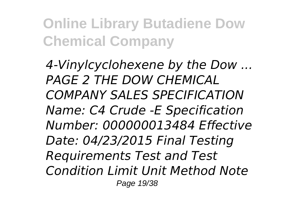*4-Vinylcyclohexene by the Dow ... PAGE 2 THE DOW CHEMICAL COMPANY SALES SPECIFICATION Name: C4 Crude -E Specification Number: 000000013484 Effective Date: 04/23/2015 Final Testing Requirements Test and Test Condition Limit Unit Method Note* Page 19/38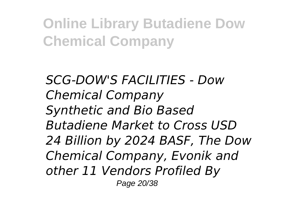*SCG-DOW'S FACILITIES - Dow Chemical Company Synthetic and Bio Based Butadiene Market to Cross USD 24 Billion by 2024 BASF, The Dow Chemical Company, Evonik and other 11 Vendors Profiled By* Page 20/38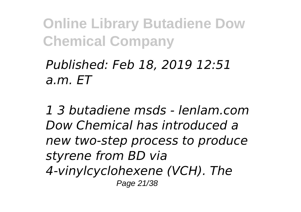### *Published: Feb 18, 2019 12:51 a.m. ET*

*1 3 butadiene msds - lenlam.com Dow Chemical has introduced a new two-step process to produce styrene from BD via 4-vinylcyclohexene (VCH). The* Page 21/38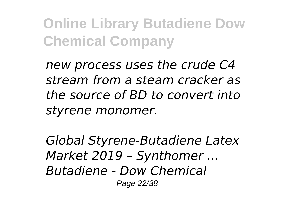*new process uses the crude C4 stream from a steam cracker as the source of BD to convert into styrene monomer.*

*Global Styrene-Butadiene Latex Market 2019 – Synthomer ... Butadiene - Dow Chemical* Page 22/38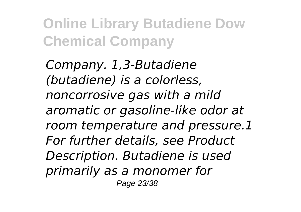*Company. 1,3-Butadiene (butadiene) is a colorless, noncorrosive gas with a mild aromatic or gasoline-like odor at room temperature and pressure.1 For further details, see Product Description. Butadiene is used primarily as a monomer for* Page 23/38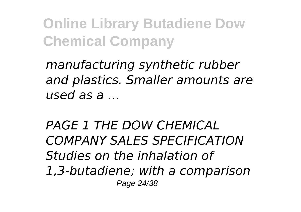*manufacturing synthetic rubber and plastics. Smaller amounts are used as a …*

*PAGE 1 THE DOW CHEMICAL COMPANY SALES SPECIFICATION Studies on the inhalation of 1,3-butadiene; with a comparison* Page 24/38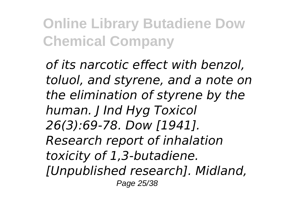*of its narcotic effect with benzol, toluol, and styrene, and a note on the elimination of styrene by the human. J Ind Hyg Toxicol 26(3):69-78. Dow [1941]. Research report of inhalation toxicity of 1,3-butadiene. [Unpublished research]. Midland,* Page 25/38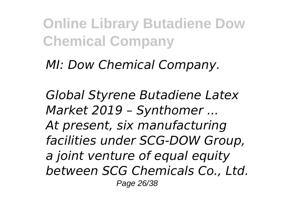*MI: Dow Chemical Company.*

*Global Styrene Butadiene Latex Market 2019 – Synthomer ... At present, six manufacturing facilities under SCG-DOW Group, a joint venture of equal equity between SCG Chemicals Co., Ltd.* Page 26/38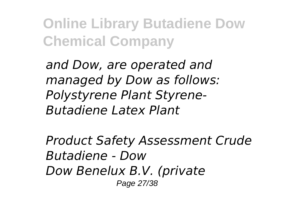*and Dow, are operated and managed by Dow as follows: Polystyrene Plant Styrene-Butadiene Latex Plant*

*Product Safety Assessment Crude Butadiene - Dow Dow Benelux B.V. (private* Page 27/38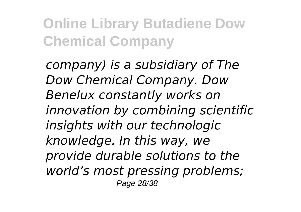*company) is a subsidiary of The Dow Chemical Company. Dow Benelux constantly works on innovation by combining scientific insights with our technologic knowledge. In this way, we provide durable solutions to the world's most pressing problems;* Page 28/38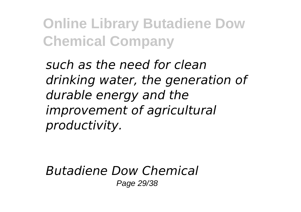*such as the need for clean drinking water, the generation of durable energy and the improvement of agricultural productivity.*

*Butadiene Dow Chemical* Page 29/38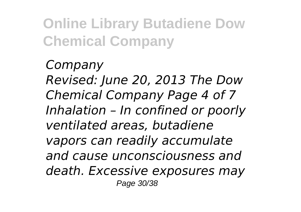*Company Revised: June 20, 2013 The Dow Chemical Company Page 4 of 7 Inhalation – In confined or poorly ventilated areas, butadiene vapors can readily accumulate and cause unconsciousness and death. Excessive exposures may* Page 30/38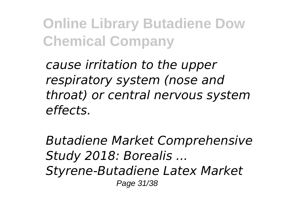*cause irritation to the upper respiratory system (nose and throat) or central nervous system effects.*

*Butadiene Market Comprehensive Study 2018: Borealis ... Styrene-Butadiene Latex Market* Page 31/38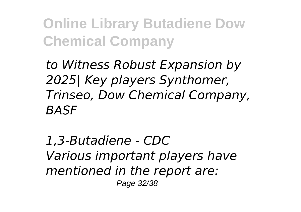*to Witness Robust Expansion by 2025| Key players Synthomer, Trinseo, Dow Chemical Company, BASF*

*1,3-Butadiene - CDC Various important players have mentioned in the report are:* Page 32/38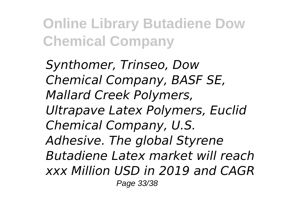*Synthomer, Trinseo, Dow Chemical Company, BASF SE, Mallard Creek Polymers, Ultrapave Latex Polymers, Euclid Chemical Company, U.S. Adhesive. The global Styrene Butadiene Latex market will reach xxx Million USD in 2019 and CAGR* Page 33/38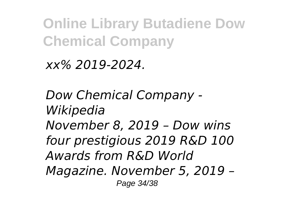*xx% 2019-2024.*

*Dow Chemical Company - Wikipedia November 8, 2019 – Dow wins four prestigious 2019 R&D 100 Awards from R&D World Magazine. November 5, 2019 –* Page 34/38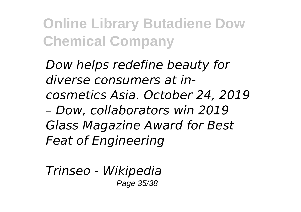*Dow helps redefine beauty for diverse consumers at incosmetics Asia. October 24, 2019 – Dow, collaborators win 2019 Glass Magazine Award for Best Feat of Engineering*

*Trinseo - Wikipedia* Page 35/38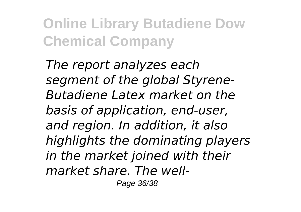*The report analyzes each segment of the global Styrene-Butadiene Latex market on the basis of application, end-user, and region. In addition, it also highlights the dominating players in the market joined with their market share. The well-*

Page 36/38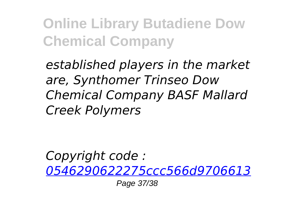*established players in the market are, Synthomer Trinseo Dow Chemical Company BASF Mallard Creek Polymers*

*Copyright code : [0546290622275ccc566d9706613](/search-book/0546290622275ccc566d970661374d8d)*

Page 37/38